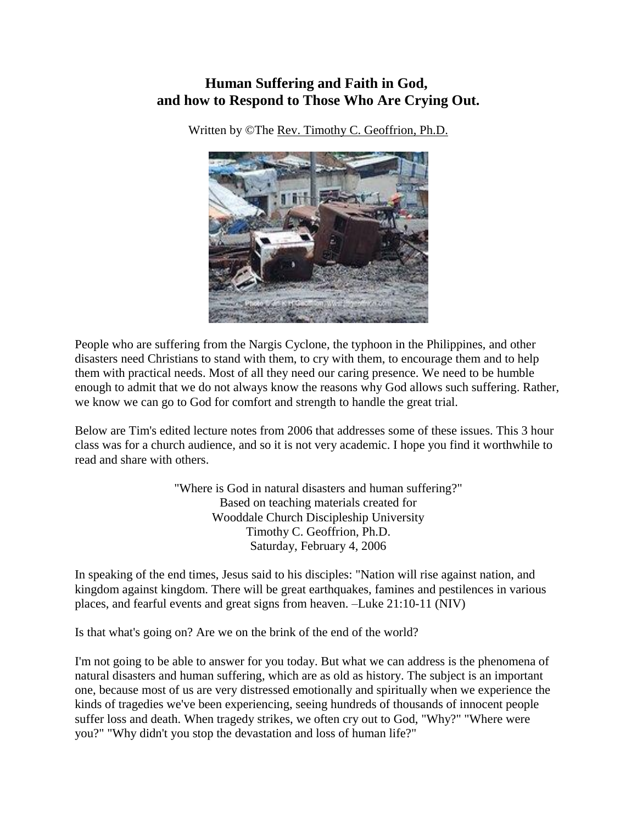# **Human Suffering and Faith in God, and how to Respond to Those Who Are Crying Out.**

Written by ©The [Rev. Timothy C. Geoffrion, Ph.D.](mailto:tim.geoffrion@fhlglobal.org)



People who are suffering from the Nargis Cyclone, the typhoon in the Philippines, and other disasters need Christians to stand with them, to cry with them, to encourage them and to help them with practical needs. Most of all they need our caring presence. We need to be humble enough to admit that we do not always know the reasons why God allows such suffering. Rather, we know we can go to God for comfort and strength to handle the great trial.

Below are Tim's edited lecture notes from 2006 that addresses some of these issues. This 3 hour class was for a church audience, and so it is not very academic. I hope you find it worthwhile to read and share with others.

> "Where is God in natural disasters and human suffering?" Based on teaching materials created for Wooddale Church Discipleship University Timothy C. Geoffrion, Ph.D. Saturday, February 4, 2006

In speaking of the end times, Jesus said to his disciples: "Nation will rise against nation, and kingdom against kingdom. There will be great earthquakes, famines and pestilences in various places, and fearful events and great signs from heaven. –Luke 21:10-11 (NIV)

Is that what's going on? Are we on the brink of the end of the world?

I'm not going to be able to answer for you today. But what we can address is the phenomena of natural disasters and human suffering, which are as old as history. The subject is an important one, because most of us are very distressed emotionally and spiritually when we experience the kinds of tragedies we've been experiencing, seeing hundreds of thousands of innocent people suffer loss and death. When tragedy strikes, we often cry out to God, "Why?" "Where were you?" "Why didn't you stop the devastation and loss of human life?"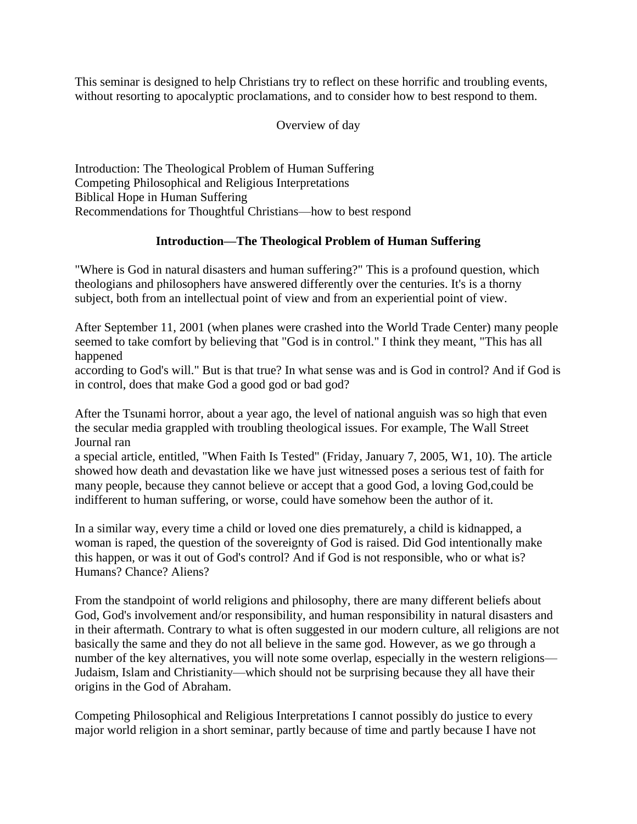This seminar is designed to help Christians try to reflect on these horrific and troubling events, without resorting to apocalyptic proclamations, and to consider how to best respond to them.

### Overview of day

Introduction: The Theological Problem of Human Suffering Competing Philosophical and Religious Interpretations Biblical Hope in Human Suffering Recommendations for Thoughtful Christians—how to best respond

## **Introduction—The Theological Problem of Human Suffering**

"Where is God in natural disasters and human suffering?" This is a profound question, which theologians and philosophers have answered differently over the centuries. It's is a thorny subject, both from an intellectual point of view and from an experiential point of view.

After September 11, 2001 (when planes were crashed into the World Trade Center) many people seemed to take comfort by believing that "God is in control." I think they meant, "This has all happened

according to God's will." But is that true? In what sense was and is God in control? And if God is in control, does that make God a good god or bad god?

After the Tsunami horror, about a year ago, the level of national anguish was so high that even the secular media grappled with troubling theological issues. For example, The Wall Street Journal ran

a special article, entitled, "When Faith Is Tested" (Friday, January 7, 2005, W1, 10). The article showed how death and devastation like we have just witnessed poses a serious test of faith for many people, because they cannot believe or accept that a good God, a loving God,could be indifferent to human suffering, or worse, could have somehow been the author of it.

In a similar way, every time a child or loved one dies prematurely, a child is kidnapped, a woman is raped, the question of the sovereignty of God is raised. Did God intentionally make this happen, or was it out of God's control? And if God is not responsible, who or what is? Humans? Chance? Aliens?

From the standpoint of world religions and philosophy, there are many different beliefs about God, God's involvement and/or responsibility, and human responsibility in natural disasters and in their aftermath. Contrary to what is often suggested in our modern culture, all religions are not basically the same and they do not all believe in the same god. However, as we go through a number of the key alternatives, you will note some overlap, especially in the western religions— Judaism, Islam and Christianity—which should not be surprising because they all have their origins in the God of Abraham.

Competing Philosophical and Religious Interpretations I cannot possibly do justice to every major world religion in a short seminar, partly because of time and partly because I have not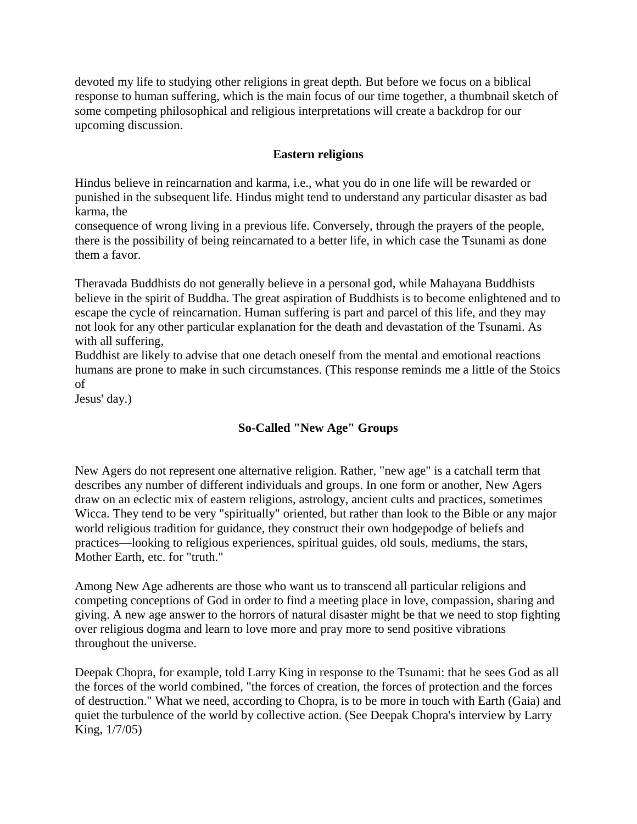devoted my life to studying other religions in great depth. But before we focus on a biblical response to human suffering, which is the main focus of our time together, a thumbnail sketch of some competing philosophical and religious interpretations will create a backdrop for our upcoming discussion.

## **Eastern religions**

Hindus believe in reincarnation and karma, i.e., what you do in one life will be rewarded or punished in the subsequent life. Hindus might tend to understand any particular disaster as bad karma, the

consequence of wrong living in a previous life. Conversely, through the prayers of the people, there is the possibility of being reincarnated to a better life, in which case the Tsunami as done them a favor.

Theravada Buddhists do not generally believe in a personal god, while Mahayana Buddhists believe in the spirit of Buddha. The great aspiration of Buddhists is to become enlightened and to escape the cycle of reincarnation. Human suffering is part and parcel of this life, and they may not look for any other particular explanation for the death and devastation of the Tsunami. As with all suffering,

Buddhist are likely to advise that one detach oneself from the mental and emotional reactions humans are prone to make in such circumstances. (This response reminds me a little of the Stoics of

Jesus' day.)

## **So-Called "New Age" Groups**

New Agers do not represent one alternative religion. Rather, "new age" is a catchall term that describes any number of different individuals and groups. In one form or another, New Agers draw on an eclectic mix of eastern religions, astrology, ancient cults and practices, sometimes Wicca. They tend to be very "spiritually" oriented, but rather than look to the Bible or any major world religious tradition for guidance, they construct their own hodgepodge of beliefs and practices—looking to religious experiences, spiritual guides, old souls, mediums, the stars, Mother Earth, etc. for "truth."

Among New Age adherents are those who want us to transcend all particular religions and competing conceptions of God in order to find a meeting place in love, compassion, sharing and giving. A new age answer to the horrors of natural disaster might be that we need to stop fighting over religious dogma and learn to love more and pray more to send positive vibrations throughout the universe.

Deepak Chopra, for example, told Larry King in response to the Tsunami: that he sees God as all the forces of the world combined, "the forces of creation, the forces of protection and the forces of destruction." What we need, according to Chopra, is to be more in touch with Earth (Gaia) and quiet the turbulence of the world by collective action. (See Deepak Chopra's interview by Larry King, 1/7/05)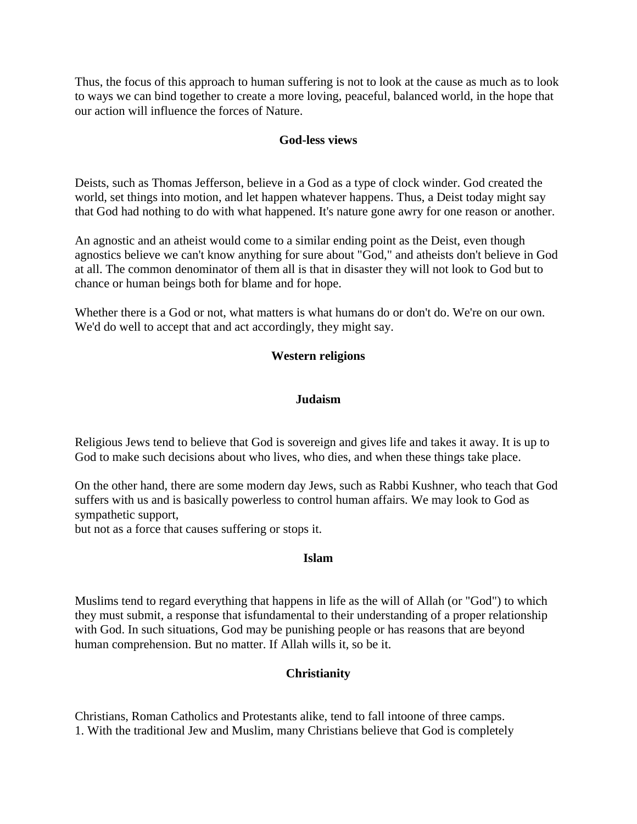Thus, the focus of this approach to human suffering is not to look at the cause as much as to look to ways we can bind together to create a more loving, peaceful, balanced world, in the hope that our action will influence the forces of Nature.

#### **God-less views**

Deists, such as Thomas Jefferson, believe in a God as a type of clock winder. God created the world, set things into motion, and let happen whatever happens. Thus, a Deist today might say that God had nothing to do with what happened. It's nature gone awry for one reason or another.

An agnostic and an atheist would come to a similar ending point as the Deist, even though agnostics believe we can't know anything for sure about "God," and atheists don't believe in God at all. The common denominator of them all is that in disaster they will not look to God but to chance or human beings both for blame and for hope.

Whether there is a God or not, what matters is what humans do or don't do. We're on our own. We'd do well to accept that and act accordingly, they might say.

#### **Western religions**

#### **Judaism**

Religious Jews tend to believe that God is sovereign and gives life and takes it away. It is up to God to make such decisions about who lives, who dies, and when these things take place.

On the other hand, there are some modern day Jews, such as Rabbi Kushner, who teach that God suffers with us and is basically powerless to control human affairs. We may look to God as sympathetic support,

but not as a force that causes suffering or stops it.

#### **Islam**

Muslims tend to regard everything that happens in life as the will of Allah (or "God") to which they must submit, a response that isfundamental to their understanding of a proper relationship with God. In such situations, God may be punishing people or has reasons that are beyond human comprehension. But no matter. If Allah wills it, so be it.

#### **Christianity**

Christians, Roman Catholics and Protestants alike, tend to fall intoone of three camps. 1. With the traditional Jew and Muslim, many Christians believe that God is completely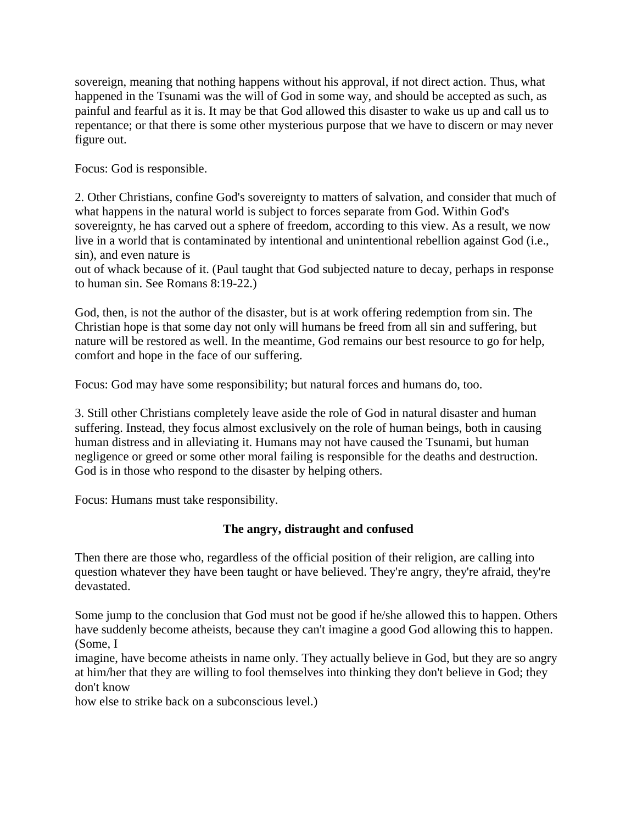sovereign, meaning that nothing happens without his approval, if not direct action. Thus, what happened in the Tsunami was the will of God in some way, and should be accepted as such, as painful and fearful as it is. It may be that God allowed this disaster to wake us up and call us to repentance; or that there is some other mysterious purpose that we have to discern or may never figure out.

Focus: God is responsible.

2. Other Christians, confine God's sovereignty to matters of salvation, and consider that much of what happens in the natural world is subject to forces separate from God. Within God's sovereignty, he has carved out a sphere of freedom, according to this view. As a result, we now live in a world that is contaminated by intentional and unintentional rebellion against God (i.e., sin), and even nature is

out of whack because of it. (Paul taught that God subjected nature to decay, perhaps in response to human sin. See Romans 8:19-22.)

God, then, is not the author of the disaster, but is at work offering redemption from sin. The Christian hope is that some day not only will humans be freed from all sin and suffering, but nature will be restored as well. In the meantime, God remains our best resource to go for help, comfort and hope in the face of our suffering.

Focus: God may have some responsibility; but natural forces and humans do, too.

3. Still other Christians completely leave aside the role of God in natural disaster and human suffering. Instead, they focus almost exclusively on the role of human beings, both in causing human distress and in alleviating it. Humans may not have caused the Tsunami, but human negligence or greed or some other moral failing is responsible for the deaths and destruction. God is in those who respond to the disaster by helping others.

Focus: Humans must take responsibility.

## **The angry, distraught and confused**

Then there are those who, regardless of the official position of their religion, are calling into question whatever they have been taught or have believed. They're angry, they're afraid, they're devastated.

Some jump to the conclusion that God must not be good if he/she allowed this to happen. Others have suddenly become atheists, because they can't imagine a good God allowing this to happen. (Some, I

imagine, have become atheists in name only. They actually believe in God, but they are so angry at him/her that they are willing to fool themselves into thinking they don't believe in God; they don't know

how else to strike back on a subconscious level.)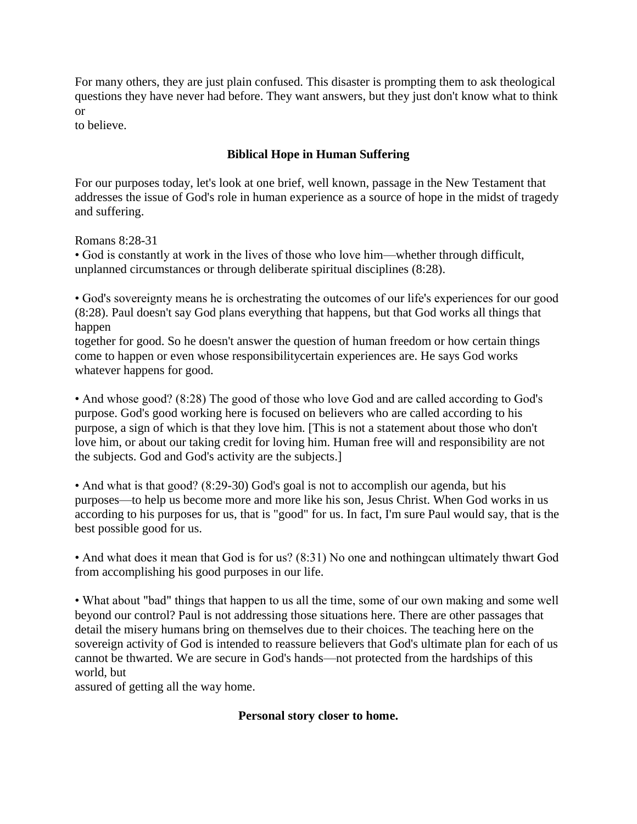For many others, they are just plain confused. This disaster is prompting them to ask theological questions they have never had before. They want answers, but they just don't know what to think or

to believe.

## **Biblical Hope in Human Suffering**

For our purposes today, let's look at one brief, well known, passage in the New Testament that addresses the issue of God's role in human experience as a source of hope in the midst of tragedy and suffering.

Romans 8:28-31

• God is constantly at work in the lives of those who love him—whether through difficult, unplanned circumstances or through deliberate spiritual disciplines (8:28).

• God's sovereignty means he is orchestrating the outcomes of our life's experiences for our good (8:28). Paul doesn't say God plans everything that happens, but that God works all things that happen

together for good. So he doesn't answer the question of human freedom or how certain things come to happen or even whose responsibilitycertain experiences are. He says God works whatever happens for good.

• And whose good? (8:28) The good of those who love God and are called according to God's purpose. God's good working here is focused on believers who are called according to his purpose, a sign of which is that they love him. [This is not a statement about those who don't love him, or about our taking credit for loving him. Human free will and responsibility are not the subjects. God and God's activity are the subjects.]

• And what is that good? (8:29-30) God's goal is not to accomplish our agenda, but his purposes—to help us become more and more like his son, Jesus Christ. When God works in us according to his purposes for us, that is "good" for us. In fact, I'm sure Paul would say, that is the best possible good for us.

• And what does it mean that God is for us? (8:31) No one and nothingcan ultimately thwart God from accomplishing his good purposes in our life.

• What about "bad" things that happen to us all the time, some of our own making and some well beyond our control? Paul is not addressing those situations here. There are other passages that detail the misery humans bring on themselves due to their choices. The teaching here on the sovereign activity of God is intended to reassure believers that God's ultimate plan for each of us cannot be thwarted. We are secure in God's hands—not protected from the hardships of this world, but

assured of getting all the way home.

## **Personal story closer to home.**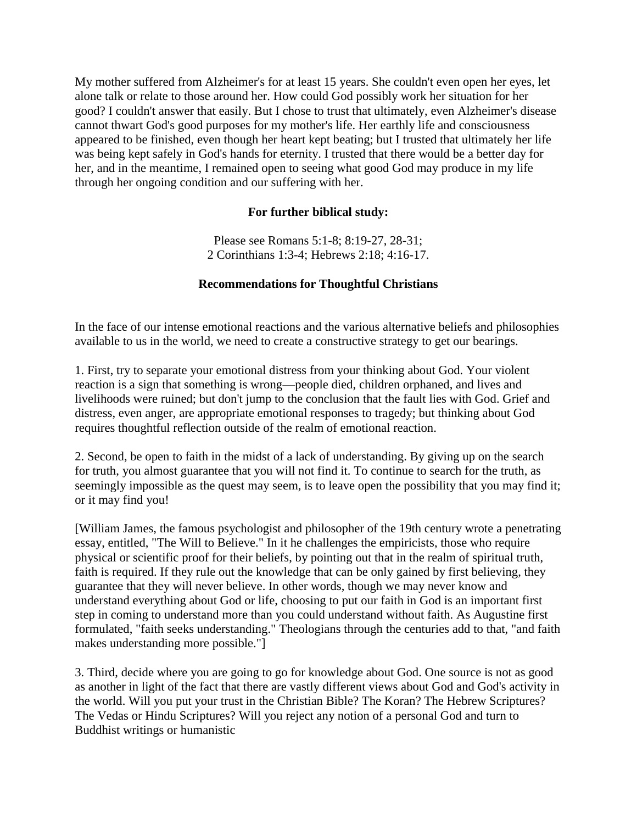My mother suffered from Alzheimer's for at least 15 years. She couldn't even open her eyes, let alone talk or relate to those around her. How could God possibly work her situation for her good? I couldn't answer that easily. But I chose to trust that ultimately, even Alzheimer's disease cannot thwart God's good purposes for my mother's life. Her earthly life and consciousness appeared to be finished, even though her heart kept beating; but I trusted that ultimately her life was being kept safely in God's hands for eternity. I trusted that there would be a better day for her, and in the meantime, I remained open to seeing what good God may produce in my life through her ongoing condition and our suffering with her.

## **For further biblical study:**

Please see Romans 5:1-8; 8:19-27, 28-31; 2 Corinthians 1:3-4; Hebrews 2:18; 4:16-17.

## **Recommendations for Thoughtful Christians**

In the face of our intense emotional reactions and the various alternative beliefs and philosophies available to us in the world, we need to create a constructive strategy to get our bearings.

1. First, try to separate your emotional distress from your thinking about God. Your violent reaction is a sign that something is wrong—people died, children orphaned, and lives and livelihoods were ruined; but don't jump to the conclusion that the fault lies with God. Grief and distress, even anger, are appropriate emotional responses to tragedy; but thinking about God requires thoughtful reflection outside of the realm of emotional reaction.

2. Second, be open to faith in the midst of a lack of understanding. By giving up on the search for truth, you almost guarantee that you will not find it. To continue to search for the truth, as seemingly impossible as the quest may seem, is to leave open the possibility that you may find it; or it may find you!

[William James, the famous psychologist and philosopher of the 19th century wrote a penetrating essay, entitled, "The Will to Believe." In it he challenges the empiricists, those who require physical or scientific proof for their beliefs, by pointing out that in the realm of spiritual truth, faith is required. If they rule out the knowledge that can be only gained by first believing, they guarantee that they will never believe. In other words, though we may never know and understand everything about God or life, choosing to put our faith in God is an important first step in coming to understand more than you could understand without faith. As Augustine first formulated, "faith seeks understanding." Theologians through the centuries add to that, "and faith makes understanding more possible."]

3. Third, decide where you are going to go for knowledge about God. One source is not as good as another in light of the fact that there are vastly different views about God and God's activity in the world. Will you put your trust in the Christian Bible? The Koran? The Hebrew Scriptures? The Vedas or Hindu Scriptures? Will you reject any notion of a personal God and turn to Buddhist writings or humanistic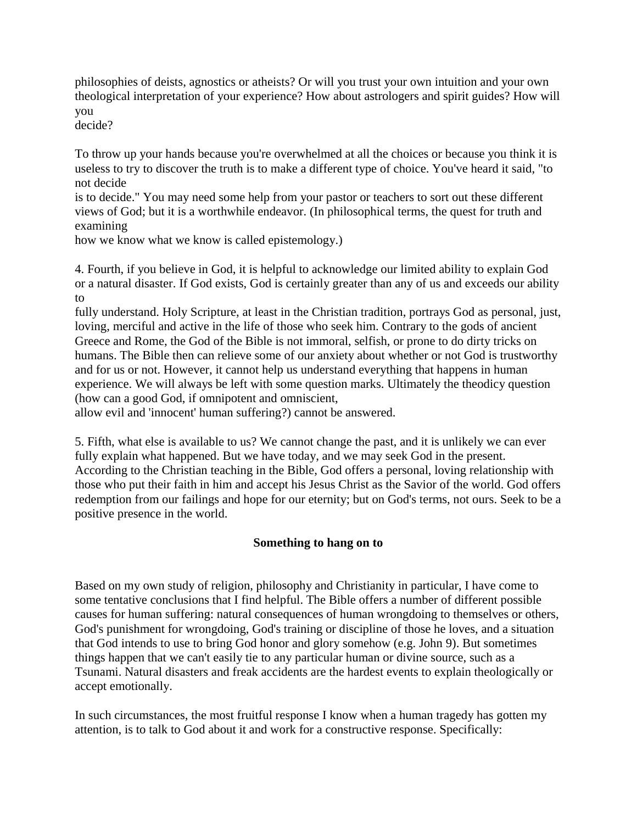philosophies of deists, agnostics or atheists? Or will you trust your own intuition and your own theological interpretation of your experience? How about astrologers and spirit guides? How will you

decide?

To throw up your hands because you're overwhelmed at all the choices or because you think it is useless to try to discover the truth is to make a different type of choice. You've heard it said, "to not decide

is to decide." You may need some help from your pastor or teachers to sort out these different views of God; but it is a worthwhile endeavor. (In philosophical terms, the quest for truth and examining

how we know what we know is called epistemology.)

4. Fourth, if you believe in God, it is helpful to acknowledge our limited ability to explain God or a natural disaster. If God exists, God is certainly greater than any of us and exceeds our ability to

fully understand. Holy Scripture, at least in the Christian tradition, portrays God as personal, just, loving, merciful and active in the life of those who seek him. Contrary to the gods of ancient Greece and Rome, the God of the Bible is not immoral, selfish, or prone to do dirty tricks on humans. The Bible then can relieve some of our anxiety about whether or not God is trustworthy and for us or not. However, it cannot help us understand everything that happens in human experience. We will always be left with some question marks. Ultimately the theodicy question (how can a good God, if omnipotent and omniscient,

allow evil and 'innocent' human suffering?) cannot be answered.

5. Fifth, what else is available to us? We cannot change the past, and it is unlikely we can ever fully explain what happened. But we have today, and we may seek God in the present. According to the Christian teaching in the Bible, God offers a personal, loving relationship with those who put their faith in him and accept his Jesus Christ as the Savior of the world. God offers redemption from our failings and hope for our eternity; but on God's terms, not ours. Seek to be a positive presence in the world.

## **Something to hang on to**

Based on my own study of religion, philosophy and Christianity in particular, I have come to some tentative conclusions that I find helpful. The Bible offers a number of different possible causes for human suffering: natural consequences of human wrongdoing to themselves or others, God's punishment for wrongdoing, God's training or discipline of those he loves, and a situation that God intends to use to bring God honor and glory somehow (e.g. John 9). But sometimes things happen that we can't easily tie to any particular human or divine source, such as a Tsunami. Natural disasters and freak accidents are the hardest events to explain theologically or accept emotionally.

In such circumstances, the most fruitful response I know when a human tragedy has gotten my attention, is to talk to God about it and work for a constructive response. Specifically: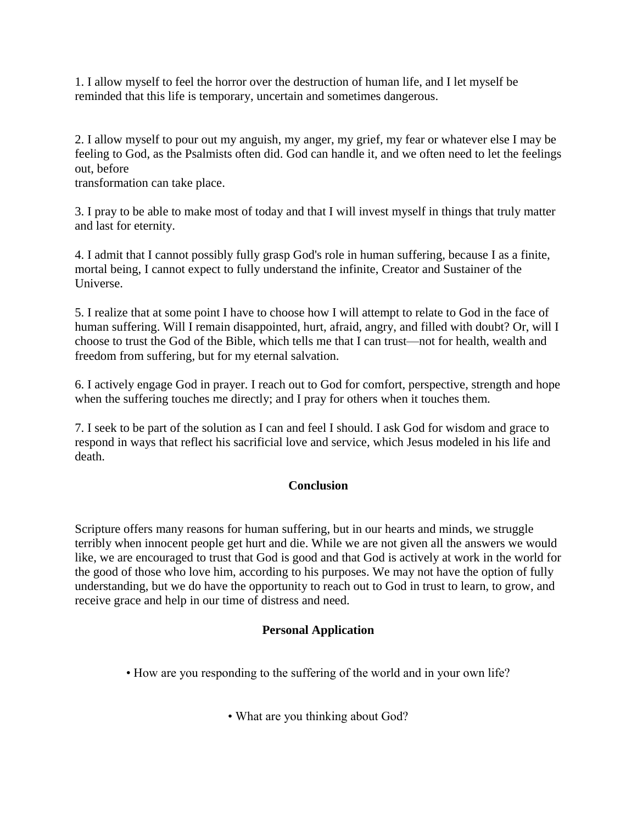1. I allow myself to feel the horror over the destruction of human life, and I let myself be reminded that this life is temporary, uncertain and sometimes dangerous.

2. I allow myself to pour out my anguish, my anger, my grief, my fear or whatever else I may be feeling to God, as the Psalmists often did. God can handle it, and we often need to let the feelings out, before

transformation can take place.

3. I pray to be able to make most of today and that I will invest myself in things that truly matter and last for eternity.

4. I admit that I cannot possibly fully grasp God's role in human suffering, because I as a finite, mortal being, I cannot expect to fully understand the infinite, Creator and Sustainer of the Universe.

5. I realize that at some point I have to choose how I will attempt to relate to God in the face of human suffering. Will I remain disappointed, hurt, afraid, angry, and filled with doubt? Or, will I choose to trust the God of the Bible, which tells me that I can trust—not for health, wealth and freedom from suffering, but for my eternal salvation.

6. I actively engage God in prayer. I reach out to God for comfort, perspective, strength and hope when the suffering touches me directly; and I pray for others when it touches them.

7. I seek to be part of the solution as I can and feel I should. I ask God for wisdom and grace to respond in ways that reflect his sacrificial love and service, which Jesus modeled in his life and death.

## **Conclusion**

Scripture offers many reasons for human suffering, but in our hearts and minds, we struggle terribly when innocent people get hurt and die. While we are not given all the answers we would like, we are encouraged to trust that God is good and that God is actively at work in the world for the good of those who love him, according to his purposes. We may not have the option of fully understanding, but we do have the opportunity to reach out to God in trust to learn, to grow, and receive grace and help in our time of distress and need.

## **Personal Application**

- How are you responding to the suffering of the world and in your own life?
	- What are you thinking about God?